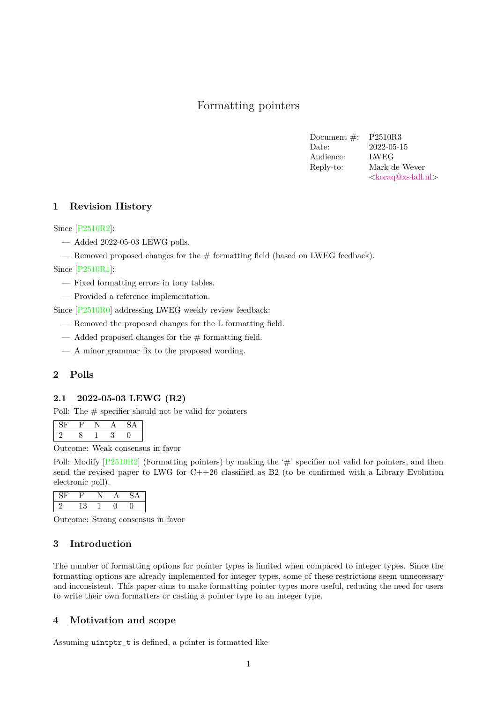# Formatting pointers

Document #: P2510R3 Date: 2022-05-15 Audience: LWEG Reply-to: Mark de Wever [<koraq@xs4all.nl>](mailto:koraq@xs4all.nl)

# **1 Revision History**

Since [\[P2510R2\]](#page-2-0):

- Added 2022-05-03 LEWG polls.
- Removed proposed changes for the  $#$  formatting field (based on LWEG feedback).

Since [\[P2510R1\]](#page-2-1):

- Fixed formatting errors in tony tables.
- Provided a reference implementation.

Since [\[P2510R0\]](#page-2-2) addressing LWEG weekly review feedback:

- Removed the proposed changes for the L formatting field.
- $\overline{\phantom{a}}$  Added proposed changes for the # formatting field.
- A minor grammar fix to the proposed wording.

# **2 Polls**

### **2.1 2022-05-03 LEWG (R2)**

Poll: The  $#$  specifier should not be valid for pointers

Outcome: Weak consensus in favor

Poll: Modify  $[P2510R2]$  (Formatting pointers) by making the '#' specifier not valid for pointers, and then send the revised paper to LWG for C++26 classified as B2 (to be confirmed with a Library Evolution electronic poll).

Outcome: Strong consensus in favor

# **3 Introduction**

The number of formatting options for pointer types is limited when compared to integer types. Since the formatting options are already implemented for integer types, some of these restrictions seem unnecessary and inconsistent. This paper aims to make formatting pointer types more useful, reducing the need for users to write their own formatters or casting a pointer type to an integer type.

# **4 Motivation and scope**

Assuming uintptr\_t is defined, a pointer is formatted like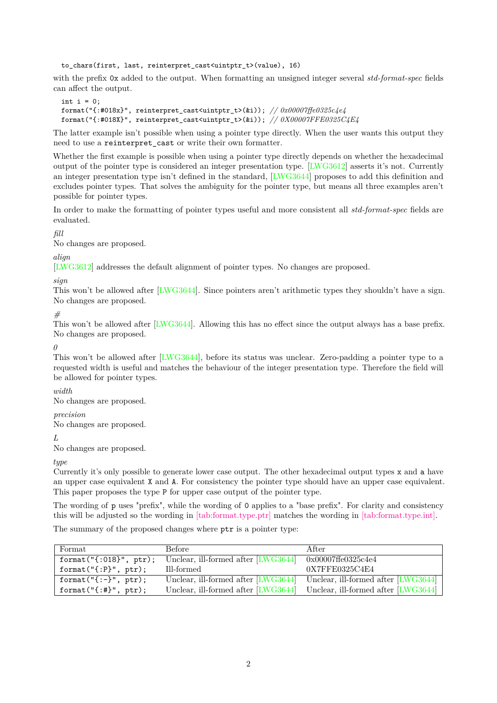to\_chars(first, last, reinterpret\_cast<uintptr\_t>(value), 16)

with the prefix 0x added to the output. When formatting an unsigned integer several *std-format-spec* fields can affect the output.

```
int i = 0:
format("{:#018x}", reinterpret_cast<uintptr_t>(&i)); // 0x00007ffe0325c4e4
format("{:#018X}", reinterpret_cast<uintptr_t>(&i)); // 0X00007FFE0325C4E4
```
The latter example isn't possible when using a pointer type directly. When the user wants this output they need to use a reinterpret cast or write their own formatter.

Whether the first example is possible when using a pointer type directly depends on whether the hexadecimal output of the pointer type is considered an integer presentation type. [\[LWG3612\]](#page-2-3) asserts it's not. Currently an integer presentation type isn't defined in the standard, [\[LWG3644\]](#page-2-4) proposes to add this definition and excludes pointer types. That solves the ambiguity for the pointer type, but means all three examples aren't possible for pointer types.

In order to make the formatting of pointer types useful and more consistent all *std-format-spec* fields are evaluated.

### *fill*

No changes are proposed.

### *align*

[\[LWG3612\]](#page-2-3) addresses the default alignment of pointer types. No changes are proposed.

### *sign*

This won't be allowed after [\[LWG3644\]](#page-2-4). Since pointers aren't arithmetic types they shouldn't have a sign. No changes are proposed.

# *#*

This won't be allowed after [\[LWG3644\]](#page-2-4). Allowing this has no effect since the output always has a base prefix. No changes are proposed.

#### *0*

This won't be allowed after [\[LWG3644\]](#page-2-4), before its status was unclear. Zero-padding a pointer type to a requested width is useful and matches the behaviour of the integer presentation type. Therefore the field will be allowed for pointer types.

#### *width*

No changes are proposed.

### *precision*

No changes are proposed.

#### *L*

No changes are proposed.

# *type*

Currently it's only possible to generate lower case output. The other hexadecimal output types x and a have an upper case equivalent X and A. For consistency the pointer type should have an upper case equivalent. This paper proposes the type P for upper case output of the pointer type.

The wording of p uses "prefix", while the wording of 0 applies to a "base prefix". For clarity and consistency this will be adjusted so the wording in [\[tab:format.type.ptr\]](https://wg21.link/format#tab:format.type.ptr) matches the wording in [\[tab:format.type.int\].](https://wg21.link/format#tab:format.type.int)

The summary of the proposed changes where ptr is a pointer type:

| Format                            | Before                              | After                                                                   |
|-----------------------------------|-------------------------------------|-------------------------------------------------------------------------|
| format(" $\{:\,018\}$ ", ptr);    | Unclear, ill-formed after [LWG3644] | 0x00007ffe0325c4e4                                                      |
| format( $"\$ :P}", ptr);          | Ill-formed                          | 0X7FFE0325C4E4                                                          |
| format( $"\{\cdot\}"\$ , ptr);    |                                     | Unclear, ill-formed after [LWG3644] Unclear, ill-formed after [LWG3644] |
| format(" $\{:\text{#}\}$ ", ptr); |                                     | Unclear, ill-formed after [LWG3644] Unclear, ill-formed after [LWG3644] |